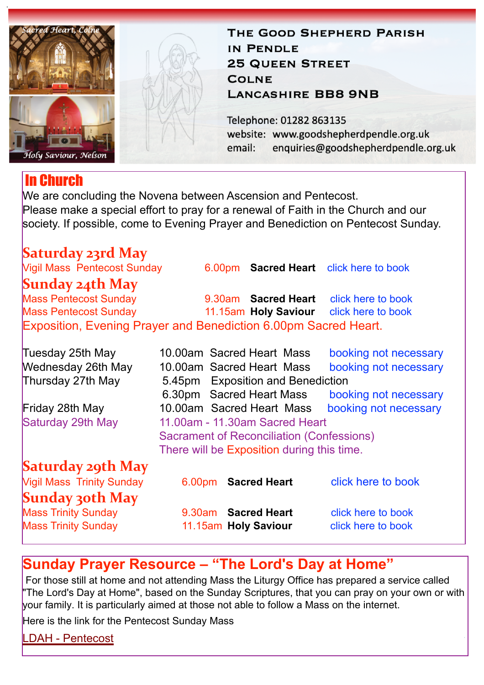

# In Church

THE GOOD SHEPHERD PARISH IN PENDLE **25 QUEEN STREET COLNE LANCASHIRE BB8 9NB** 

Telephone: 01282 863135 website: www.goodshepherdpendle.org.uk email: enquiries@goodshepherdpendle.org.uk

We are concluding the Novena between Ascension and Pentecost. Please make a special effort to pray for a renewal of Faith in the Church and our society. If possible, come to Evening Prayer and Benediction on Pentecost Sunday.

## **Saturday 23rd May**

Vigil Mass Pentecost Sunday 6.00pm **Sacred Heart** [click here to book](https://www.eventbrite.co.uk/e/154702173365)

## **Sunday 24th May**

Mass Pentecost Sunday 9.30am **Sacred Heart** [click here to book](https://www.eventbrite.co.uk/e/154702785195) Mass Pentecost Sunday 11.15am **Holy Saviour** [click here to book](https://www.eventbrite.co.uk/e/152704646709) Exposition, Evening Prayer and Benediction 6.00pm Sacred Heart.

| Tuesday 25th May                 |                                                  | 10.00am Sacred Heart Mass | booking not necessary |
|----------------------------------|--------------------------------------------------|---------------------------|-----------------------|
| <b>Wednesday 26th May</b>        |                                                  | 10.00am Sacred Heart Mass | booking not necessary |
| Thursday 27th May                | 5.45pm Exposition and Benediction                |                           |                       |
|                                  |                                                  | 6.30pm Sacred Heart Mass  | booking not necessary |
| Friday 28th May                  |                                                  | 10.00am Sacred Heart Mass | booking not necessary |
| Saturday 29th May                | 11.00am - 11.30am Sacred Heart                   |                           |                       |
|                                  | <b>Sacrament of Reconciliation (Confessions)</b> |                           |                       |
|                                  | There will be Exposition during this time.       |                           |                       |
| <b>Saturday 29th May</b>         |                                                  |                           |                       |
| <b>Vigil Mass Trinity Sunday</b> |                                                  | 6.00pm Sacred Heart       | click here to book    |
| <b>Sunday 30th May</b>           |                                                  |                           |                       |
| <b>Mass Trinity Sunday</b>       | 9.30am                                           | <b>Sacred Heart</b>       | click here to book    |
| <b>Mass Trinity Sunday</b>       |                                                  | 11.15am Holy Saviour      | click here to book    |

# **Sunday Prayer Resource – "The Lord's Day at Home"**

For those still at home and not attending Mass the Liturgy Office has prepared a service called "The Lord's Day at Home", based on the Sunday Scriptures, that you can pray on your own or with your family. It is particularly aimed at those not able to follow a Mass on the internet.

Here is the link for the Pentecost Sunday Mass

[LDAH - Pentecost](https://gbr01.safelinks.protection.outlook.com/?url=https%3A%2F%2Fdioceseofsalford.us6.list-manage.com%2Ftrack%2Fclick%3Fu%3D76e219dab8653b775ba8aac4c%26id%3D283d95c6b0%26e%3D5ce69633f0&data=04%7C01%7Cpeter.wilkinson%40dioceseofsalford.org.uk%7C1cf0750ec7f04a869d0708d91a9e2e8b%7C699a61ae142a45a090c604b2f08de19b%7C0%7C0%7C637570088949139718%7CUnknown%7CTWFpbGZsb3d8eyJWIjoiMC4wLjAwMDAiLCJQIjoiV2luMzIiLCJBTiI6Ik1haWwiLCJXVCI6Mn0%3D%7C1000&sdata=QJtyi73kaMmSa27vTbObi3uZQ4CXIWEPZUY4SFs1edA%3D&reserved=0)